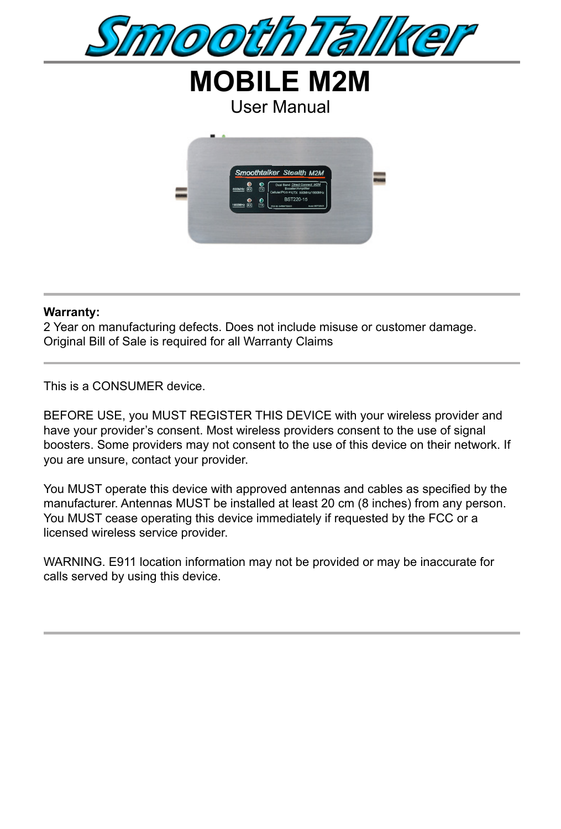

**MOBILE M2M** User Manual



#### **Warranty:**

2 Year on manufacturing defects. Does not include misuse or customer damage. Original Bill of Sale is required for all Warranty Claims

This is a CONSUMER device.

BEFORE USE, you MUST REGISTER THIS DEVICE with your wireless provider and have your provider's consent. Most wireless providers consent to the use of signal boosters. Some providers may not consent to the use of this device on their network. If you are unsure, contact your provider.

You MUST operate this device with approved antennas and cables as specified by the manufacturer. Antennas MUST be installed at least 20 cm (8 inches) from any person. You MUST cease operating this device immediately if requested by the FCC or a licensed wireless service provider.

WARNING. E911 location information may not be provided or may be inaccurate for calls served by using this device.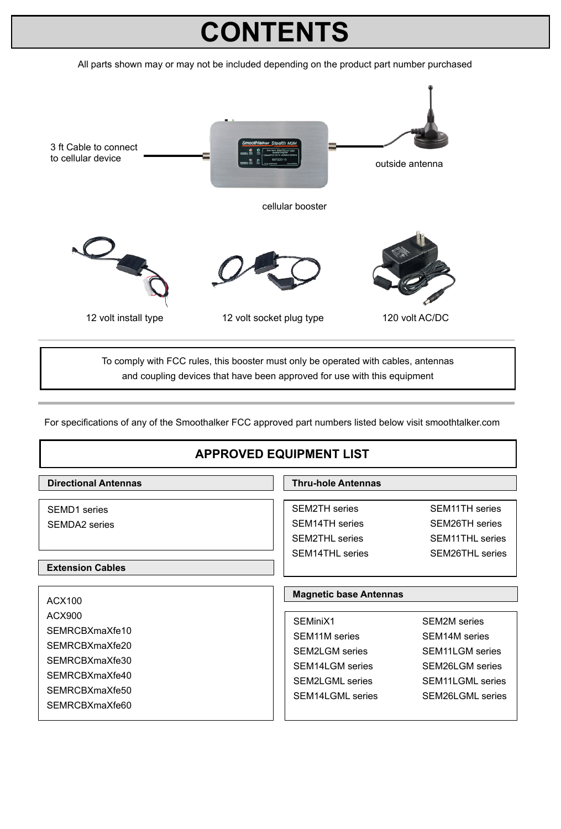## **CONTENTS**

All parts shown may or may not be included depending on the product part number purchased



To comply with FCC rules, this booster must only be operated with cables, antennas and coupling devices that have been approved for use with this equipment

For specifications of any of the Smoothalker FCC approved part numbers listed below visit smoothtalker.com

| <b>APPROVED EQUIPMENT LIST</b>                                                                                               |                                                                                                                                                             |                                                                                                                                  |  |
|------------------------------------------------------------------------------------------------------------------------------|-------------------------------------------------------------------------------------------------------------------------------------------------------------|----------------------------------------------------------------------------------------------------------------------------------|--|
| <b>Directional Antennas</b>                                                                                                  | <b>Thru-hole Antennas</b>                                                                                                                                   |                                                                                                                                  |  |
| SEMD1 series<br>SEMDA2 series<br><b>Extension Cables</b>                                                                     | <b>SEM2TH</b> series<br><b>SEM14TH</b> series<br><b>SEM2THL</b> series<br><b>SEM14THL</b> series                                                            | <b>SEM11TH</b> series<br><b>SEM26TH</b> series<br><b>SEM11THL</b> series<br><b>SEM26THL</b> series                               |  |
| ACX100<br>ACX900<br>SEMRCBXmaXfe10<br>SEMRCBXmaXfe20<br>SEMRCBXmaXfe30<br>SEMRCBXmaXfe40<br>SEMRCBXmaXfe50<br>SEMRCBXmaXfe60 | <b>Magnetic base Antennas</b><br>SEMiniX1<br><b>SEM11M</b> series<br><b>SEM2LGM</b> series<br>SEM14LGM series<br><b>SEM2LGML</b> series<br>SEM14LGML series | <b>SEM2M</b> series<br>SEM14M series<br><b>SEM11LGM</b> series<br>SEM26LGM series<br><b>SEM11LGML</b> series<br>SEM26LGML series |  |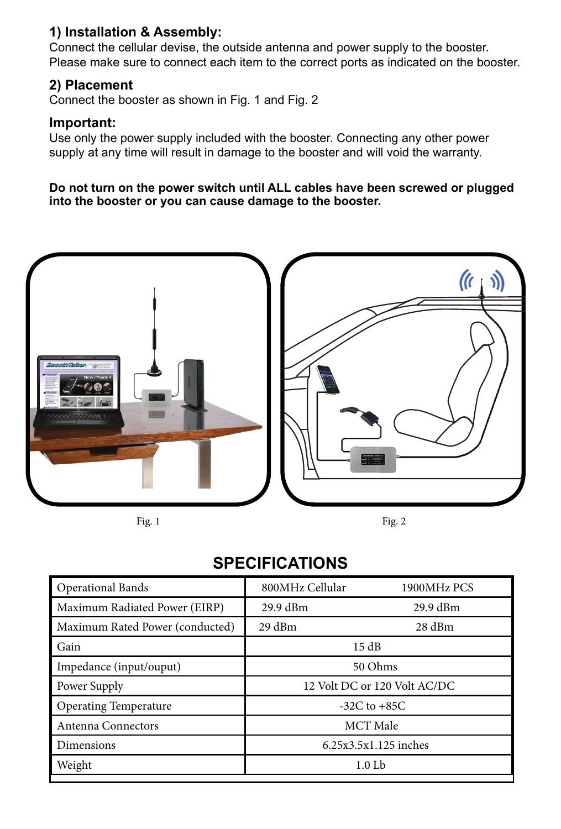### **1) Installation & Assembly:**

Connect the cellular devise, the outside antenna and power supply to the booster. Please make sure to connect each item to the correct ports as indicated on the booster.

#### **2) Placement**

Connect the booster as shown in Fig. 1 and Fig. 2

#### **Important:**

Use only the power supply included with the booster. Connecting any other power supply at any time will result in damage to the booster and will void the warranty.

#### **Do not turn on the power switch until ALL cables have been screwed or plugged into the booster or you can cause damage to the booster.**



Fig. 1 Fig. 2

## **SPECIFICATIONS**

| <b>Operational Bands</b>        | 800MHz Cellular              | 1900MHz PCS |
|---------------------------------|------------------------------|-------------|
| Maximum Radiated Power (EIRP)   | 29.9 dBm                     | 29.9 dBm    |
| Maximum Rated Power (conducted) | 29 dBm                       | $28$ dBm    |
| Gain                            | 15 dB                        |             |
| Impedance (input/ouput)         | 50 Ohms                      |             |
| Power Supply                    | 12 Volt DC or 120 Volt AC/DC |             |
| <b>Operating Temperature</b>    | $-32C$ to $+85C$             |             |
| Antenna Connectors              | <b>MCT</b> Male              |             |
| Dimensions                      | 6.25x3.5x1.125 inches        |             |
| Weight                          | $1.0$ Lb                     |             |
|                                 |                              |             |